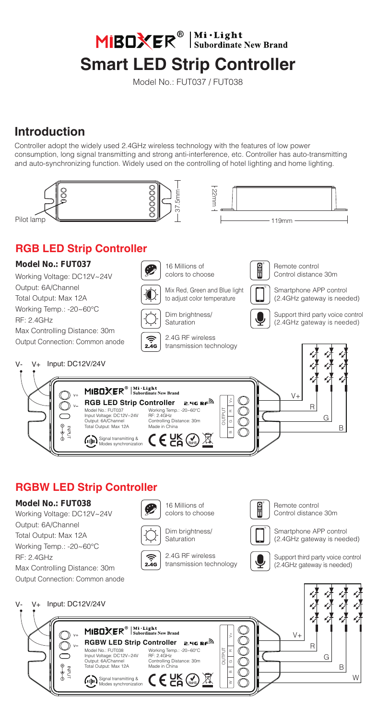MIBOXER<sup>®</sup> Subordinate New Brand

# **Smart LED Strip Controller**

Model No.: FUT037 / FUT038

## **Introduction**

Controller adopt the widely used 2.4GHz wireless technology with the features of low power consumption, long signal transmitting and strong anti-interference, etc. Controller has auto-transmitting and auto-synchronizing function. Widely used on the controlling of hotel lighting and home lighting.